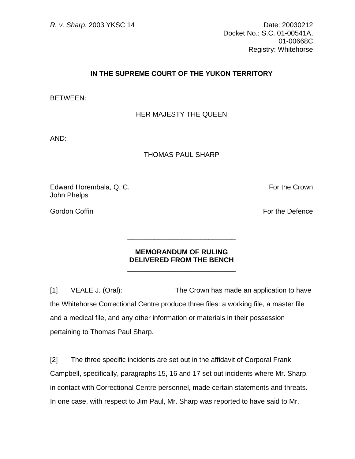## **IN THE SUPREME COURT OF THE YUKON TERRITORY**

## BETWEEN:

HER MAJESTY THE QUEEN

AND:

THOMAS PAUL SHARP

Edward Horembala, Q. C. **For the Crown** John Phelps

Gordon Coffin For the Defence Corp. The Defence of the Defence Corp. The Defence of the Defence of the Defence

## **MEMORANDUM OF RULING DELIVERED FROM THE BENCH**

 $\frac{1}{\sqrt{2}}$  ,  $\frac{1}{\sqrt{2}}$  ,  $\frac{1}{\sqrt{2}}$  ,  $\frac{1}{\sqrt{2}}$  ,  $\frac{1}{\sqrt{2}}$  ,  $\frac{1}{\sqrt{2}}$  ,  $\frac{1}{\sqrt{2}}$  ,  $\frac{1}{\sqrt{2}}$  ,  $\frac{1}{\sqrt{2}}$  ,  $\frac{1}{\sqrt{2}}$  ,  $\frac{1}{\sqrt{2}}$  ,  $\frac{1}{\sqrt{2}}$  ,  $\frac{1}{\sqrt{2}}$  ,  $\frac{1}{\sqrt{2}}$  ,  $\frac{1}{\sqrt{2}}$ 

 $\frac{1}{\sqrt{2}}$  ,  $\frac{1}{\sqrt{2}}$  ,  $\frac{1}{\sqrt{2}}$  ,  $\frac{1}{\sqrt{2}}$  ,  $\frac{1}{\sqrt{2}}$  ,  $\frac{1}{\sqrt{2}}$  ,  $\frac{1}{\sqrt{2}}$  ,  $\frac{1}{\sqrt{2}}$  ,  $\frac{1}{\sqrt{2}}$  ,  $\frac{1}{\sqrt{2}}$  ,  $\frac{1}{\sqrt{2}}$  ,  $\frac{1}{\sqrt{2}}$  ,  $\frac{1}{\sqrt{2}}$  ,  $\frac{1}{\sqrt{2}}$  ,  $\frac{1}{\sqrt{2}}$ 

[1] VEALE J. (Oral): The Crown has made an application to have the Whitehorse Correctional Centre produce three files: a working file, a master file and a medical file, and any other information or materials in their possession pertaining to Thomas Paul Sharp.

[2] The three specific incidents are set out in the affidavit of Corporal Frank Campbell, specifically, paragraphs 15, 16 and 17 set out incidents where Mr. Sharp, in contact with Correctional Centre personnel, made certain statements and threats. In one case, with respect to Jim Paul, Mr. Sharp was reported to have said to Mr.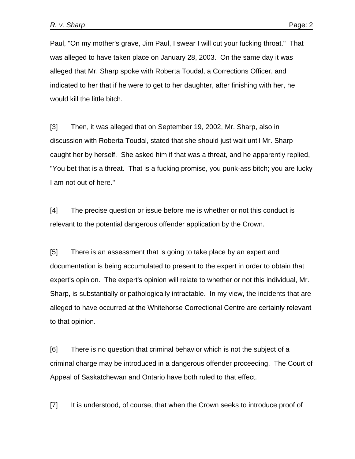Paul, "On my mother's grave, Jim Paul, I swear I will cut your fucking throat." That was alleged to have taken place on January 28, 2003. On the same day it was alleged that Mr. Sharp spoke with Roberta Toudal, a Corrections Officer, and indicated to her that if he were to get to her daughter, after finishing with her, he would kill the little bitch.

[3] Then, it was alleged that on September 19, 2002, Mr. Sharp, also in discussion with Roberta Toudal, stated that she should just wait until Mr. Sharp caught her by herself. She asked him if that was a threat, and he apparently replied, "You bet that is a threat. That is a fucking promise, you punk-ass bitch; you are lucky I am not out of here."

[4] The precise question or issue before me is whether or not this conduct is relevant to the potential dangerous offender application by the Crown.

[5] There is an assessment that is going to take place by an expert and documentation is being accumulated to present to the expert in order to obtain that expert's opinion. The expert's opinion will relate to whether or not this individual, Mr. Sharp, is substantially or pathologically intractable. In my view, the incidents that are alleged to have occurred at the Whitehorse Correctional Centre are certainly relevant to that opinion.

[6] There is no question that criminal behavior which is not the subject of a criminal charge may be introduced in a dangerous offender proceeding. The Court of Appeal of Saskatchewan and Ontario have both ruled to that effect.

[7] It is understood, of course, that when the Crown seeks to introduce proof of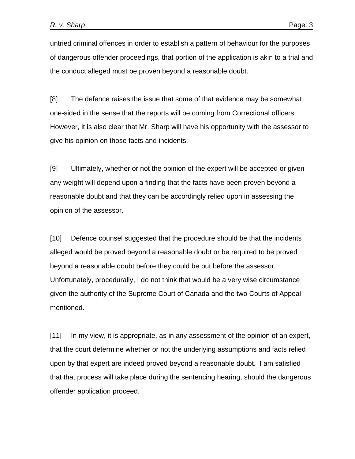untried criminal offences in order to establish a pattern of behaviour for the purposes of dangerous offender proceedings, that portion of the application is akin to a trial and the conduct alleged must be proven beyond a reasonable doubt.

[8] The defence raises the issue that some of that evidence may be somewhat one-sided in the sense that the reports will be coming from Correctional officers. However, it is also clear that Mr. Sharp will have his opportunity with the assessor to give his opinion on those facts and incidents.

[9] Ultimately, whether or not the opinion of the expert will be accepted or given any weight will depend upon a finding that the facts have been proven beyond a reasonable doubt and that they can be accordingly relied upon in assessing the opinion of the assessor.

[10] Defence counsel suggested that the procedure should be that the incidents alleged would be proved beyond a reasonable doubt or be required to be proved beyond a reasonable doubt before they could be put before the assessor. Unfortunately, procedurally, I do not think that would be a very wise circumstance given the authority of the Supreme Court of Canada and the two Courts of Appeal mentioned.

[11] In my view, it is appropriate, as in any assessment of the opinion of an expert, that the court determine whether or not the underlying assumptions and facts relied upon by that expert are indeed proved beyond a reasonable doubt. I am satisfied that that process will take place during the sentencing hearing, should the dangerous offender application proceed.